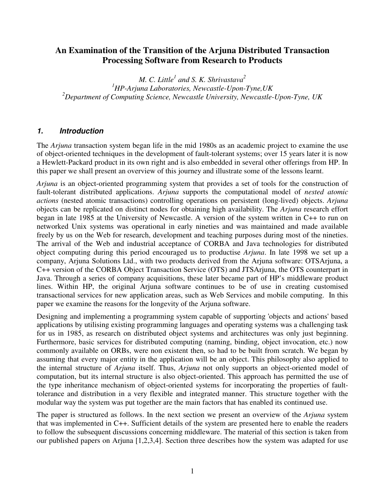## **An Examination of the Transition of the Arjuna Distributed Transaction Processing Software from Research to Products**

*M.* C. Little<sup>1</sup> and S. K. Shrivastava<sup>2</sup> *<sup>1</sup>HP-Arjuna Laboratories, Newcastle-Upon-Tyne,UK <sup>2</sup>Department of Computing Science, Newcastle University, Newcastle-Upon-Tyne, UK* 

## **1. Introduction**

The *Arjuna* transaction system began life in the mid 1980s as an academic project to examine the use of object-oriented techniques in the development of fault-tolerant systems; over 15 years later it is now a Hewlett-Packard product in its own right and is also embedded in several other offerings from HP. In this paper we shall present an overview of this journey and illustrate some of the lessons learnt.

*Arjuna* is an object-oriented programming system that provides a set of tools for the construction of fault-tolerant distributed applications. *Arjuna* supports the computational model of *nested atomic actions* (nested atomic transactions) controlling operations on persistent (long-lived) objects. *Arjuna*  objects can be replicated on distinct nodes for obtaining high availability. The *Arjuna* research effort began in late 1985 at the University of Newcastle. A version of the system written in C++ to run on networked Unix systems was operational in early nineties and was maintained and made available freely by us on the Web for research, development and teaching purposes during most of the nineties. The arrival of the Web and industrial acceptance of CORBA and Java technologies for distributed object computing during this period encouraged us to productise *Arjuna*. In late 1998 we set up a company, Arjuna Solutions Ltd., with two products derived from the Arjuna software: OTSArjuna, a C++ version of the CORBA Object Transaction Service (OTS) and JTSArjuna, the OTS counterpart in Java. Through a series of company acquisitions, these later became part of HP's middleware product lines. Within HP, the original Arjuna software continues to be of use in creating customised transactional services for new application areas, such as Web Services and mobile computing. In this paper we examine the reasons for the longevity of the Arjuna software.

Designing and implementing a programming system capable of supporting 'objects and actions' based applications by utilising existing programming languages and operating systems was a challenging task for us in 1985, as research on distributed object systems and architectures was only just beginning. Furthermore, basic services for distributed computing (naming, binding, object invocation, etc.) now commonly available on ORBs, were non existent then, so had to be built from scratch. We began by assuming that every major entity in the application will be an object. This philosophy also applied to the internal structure of *Arjuna* itself. Thus, *Arjuna* not only supports an object-oriented model of computation, but its internal structure is also object-oriented. This approach has permitted the use of the type inheritance mechanism of object-oriented systems for incorporating the properties of faulttolerance and distribution in a very flexible and integrated manner. This structure together with the modular way the system was put together are the main factors that has enabled its continued use.

The paper is structured as follows. In the next section we present an overview of the *Arjuna* system that was implemented in C++. Sufficient details of the system are presented here to enable the readers to follow the subsequent discussions concerning middleware. The material of this section is taken from our published papers on Arjuna [1,2,3,4]. Section three describes how the system was adapted for use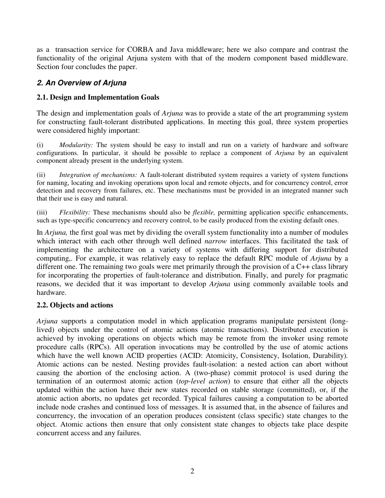as a transaction service for CORBA and Java middleware; here we also compare and contrast the functionality of the original Arjuna system with that of the modern component based middleware. Section four concludes the paper.

## **2. An Overview of Arjuna**

### **2.1. Design and Implementation Goals**

The design and implementation goals of *Arjuna* was to provide a state of the art programming system for constructing fault-tolerant distributed applications. In meeting this goal, three system properties were considered highly important:

(i) *Modularity:* The system should be easy to install and run on a variety of hardware and software configurations. In particular, it should be possible to replace a component of *Arjuna* by an equivalent component already present in the underlying system.

(ii) *Integration of mechanisms:* A fault-tolerant distributed system requires a variety of system functions for naming, locating and invoking operations upon local and remote objects, and for concurrency control, error detection and recovery from failures, etc. These mechanisms must be provided in an integrated manner such that their use is easy and natural.

(iii) *Flexibility:* These mechanisms should also be *flexible,* permitting application specific enhancements, such as type-specific concurrency and recovery control, to be easily produced from the existing default ones.

In *Arjuna,* the first goal was met by dividing the overall system functionality into a number of modules which interact with each other through well defined *narrow* interfaces. This facilitated the task of implementing the architecture on a variety of systems with differing support for distributed computing,. For example, it was relatively easy to replace the default RPC module of *Arjuna* by a different one. The remaining two goals were met primarily through the provision of a C++ class library for incorporating the properties of fault-tolerance and distribution. Finally, and purely for pragmatic reasons, we decided that it was important to develop *Arjuna* using commonly available tools and hardware.

### **2.2. Objects and actions**

*Arjuna* supports a computation model in which application programs manipulate persistent (longlived) objects under the control of atomic actions (atomic transactions). Distributed execution is achieved by invoking operations on objects which may be remote from the invoker using remote procedure calls (RPCs). All operation invocations may be controlled by the use of atomic actions which have the well known ACID properties (ACID: Atomicity, Consistency, Isolation, Durability)*.*  Atomic actions can be nested. Nesting provides fault-isolation: a nested action can abort without causing the abortion of the enclosing action. A (two-phase) commit protocol is used during the termination of an outermost atomic action (*top-level action*) to ensure that either all the objects updated within the action have their new states recorded on stable storage (committed), or, if the atomic action aborts, no updates get recorded. Typical failures causing a computation to be aborted include node crashes and continued loss of messages. It is assumed that, in the absence of failures and concurrency, the invocation of an operation produces consistent (class specific) state changes to the object. Atomic actions then ensure that only consistent state changes to objects take place despite concurrent access and any failures.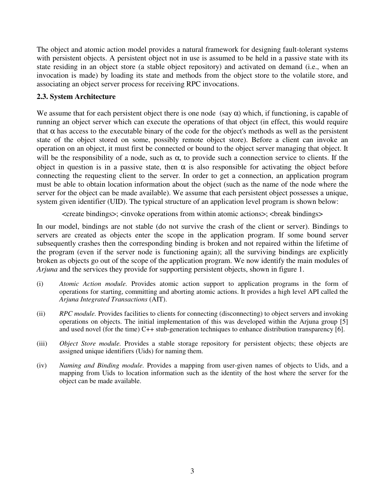The object and atomic action model provides a natural framework for designing fault-tolerant systems with persistent objects. A persistent object not in use is assumed to be held in a passive state with its state residing in an object store (a stable object repository) and activated on demand (i.e., when an invocation is made) by loading its state and methods from the object store to the volatile store, and associating an object server process for receiving RPC invocations.

#### **2.3. System Architecture**

We assume that for each persistent object there is one node (say  $\alpha$ ) which, if functioning, is capable of running an object server which can execute the operations of that object (in effect, this would require that  $\alpha$  has access to the executable binary of the code for the object's methods as well as the persistent state of the object stored on some, possibly remote object store). Before a client can invoke an operation on an object, it must first be connected or bound to the object server managing that object. It will be the responsibility of a node, such as  $\alpha$ , to provide such a connection service to clients. If the object in question is in a passive state, then  $\alpha$  is also responsible for activating the object before connecting the requesting client to the server. In order to get a connection, an application program must be able to obtain location information about the object (such as the name of the node where the server for the object can be made available). We assume that each persistent object possesses a unique, system given identifier (UID). The typical structure of an application level program is shown below:

<create bindings>; <invoke operations from within atomic actions>; <break bindings>

In our model, bindings are not stable (do not survive the crash of the client or server). Bindings to servers are created as objects enter the scope in the application program. If some bound server subsequently crashes then the corresponding binding is broken and not repaired within the lifetime of the program (even if the server node is functioning again); all the surviving bindings are explicitly broken as objects go out of the scope of the application program. We now identify the main modules of *Arjuna* and the services they provide for supporting persistent objects, shown in figure 1.

- (i) *Atomic Action module.* Provides atomic action support to application programs in the form of operations for starting, committing and aborting atomic actions. It provides a high level API called the *Arjuna Integrated Transactions* (AIT).
- (ii) *RPC module.* Provides facilities to clients for connecting (disconnecting) to object servers and invoking operations on objects. The initial implementation of this was developed within the Arjuna group [5] and used novel (for the time) C++ stub-generation techniques to enhance distribution transparency [6].
- (iii) *Object Store module.* Provides a stable storage repository for persistent objects; these objects are assigned unique identifiers (Uids) for naming them.
- (iv) *Naming and Binding module.* Provides a mapping from user-given names of objects to Uids, and a mapping from Uids to location information such as the identity of the host where the server for the object can be made available.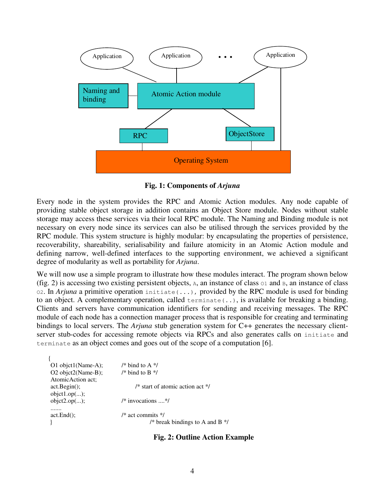

**Fig. 1: Components of** *Arjuna*

Every node in the system provides the RPC and Atomic Action modules. Any node capable of providing stable object storage in addition contains an Object Store module. Nodes without stable storage may access these services via their local RPC module. The Naming and Binding module is not necessary on every node since its services can also be utilised through the services provided by the RPC module. This system structure is highly modular: by encapsulating the properties of persistence, recoverability, shareability, serialisability and failure atomicity in an Atomic Action module and defining narrow, well-defined interfaces to the supporting environment, we achieved a significant degree of modularity as well as portability for *Arjuna*.

We will now use a simple program to illustrate how these modules interact. The program shown below (fig. 2) is accessing two existing persistent objects,  $A$ , an instance of class  $O1$  and  $B$ , an instance of class O2. In *Arjuna* a primitive operation initiate(...), provided by the RPC module is used for binding to an object. A complementary operation, called  $\epsilon$ erminate(..), is available for breaking a binding. Clients and servers have communication identifiers for sending and receiving messages. The RPC module of each node has a connection manager process that is responsible for creating and terminating bindings to local servers. The *Arjuna* stub generation system for C++ generates the necessary clientserver stub-codes for accessing remote objects via RPCs and also generates calls on initiate and terminate as an object comes and goes out of the scope of a computation [6].

| O1 objet1(Name-A); | /* bind to A $*$ /                 |
|--------------------|------------------------------------|
| O2 objct2(Name-B); | /* bind to B $*$ /                 |
| AtomicAction act;  |                                    |
| act. Begin();      | /* start of atomic action act $*/$ |
| object1.op();      |                                    |
| object2.op();      | $/*$ invocations $*/$              |
|                    |                                    |
| $act.End()$ ;      | $/*$ act commits $*/$              |
|                    | /* break bindings to A and B $*$ / |
|                    |                                    |

**Fig. 2: Outline Action Example**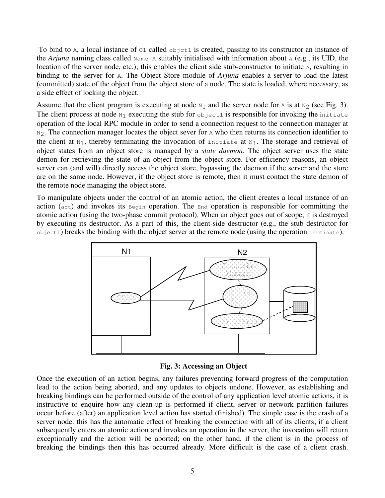To bind to A, a local instance of 01 called object1 is created, passing to its constructor an instance of the *Arjuna* naming class called  $\text{Name-A}$  suitably initialised with information about A (e.g., its UID, the location of the server node, etc.); this enables the client side stub-constructor to initiate A, resulting in binding to the server for A. The Object Store module of *Arjuna* enables a server to load the latest (committed) state of the object from the object store of a node. The state is loaded, where necessary, as a side effect of locking the object.

Assume that the client program is executing at node  $N_1$  and the server node for A is at  $N_2$  (see Fig. 3). The client process at node  $N_1$  executing the stub for object1 is responsible for invoking the initiate operation of the local RPC module in order to send a connection request to the connection manager at  $N_2$ . The connection manager locates the object sever for A who then returns its connection identifier to the client at  $N_1$ , thereby terminating the invocation of initiate at  $N_1$ . The storage and retrieval of object states from an object store is managed by a *state daemon*. The object server uses the state demon for retrieving the state of an object from the object store. For efficiency reasons, an object server can (and will) directly access the object store, bypassing the daemon if the server and the store are on the same node. However, if the object store is remote, then it must contact the state demon of the remote node managing the object store.

To manipulate objects under the control of an atomic action, the client creates a local instance of an action (act) and invokes its Begin operation. The End operation is responsible for committing the atomic action (using the two-phase commit protocol). When an object goes out of scope, it is destroyed by executing its destructor. As a part of this, the client-side destructor (e.g., the stub destructor for object1) breaks the binding with the object server at the remote node (using the operation terminate).



**Fig. 3: Accessing an Object** 

Once the execution of an action begins, any failures preventing forward progress of the computation lead to the action being aborted, and any updates to objects undone. However, as establishing and breaking bindings can be performed outside of the control of any application level atomic actions, it is instructive to enquire how any clean-up is performed if client, server or network partition failures occur before (after) an application level action has started (finished). The simple case is the crash of a server node: this has the automatic effect of breaking the connection with all of its clients; if a client subsequently enters an atomic action and invokes an operation in the server, the invocation will return exceptionally and the action will be aborted; on the other hand, if the client is in the process of breaking the bindings then this has occurred already. More difficult is the case of a client crash.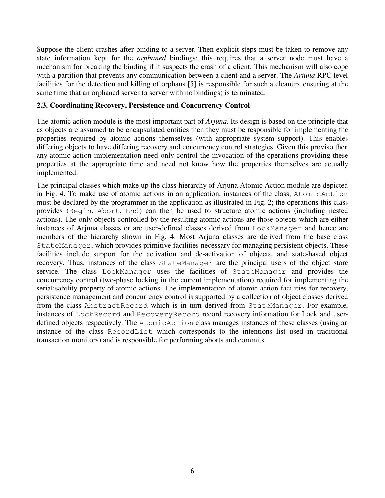Suppose the client crashes after binding to a server. Then explicit steps must be taken to remove any state information kept for the *orphaned* bindings; this requires that a server node must have a mechanism for breaking the binding if it suspects the crash of a client. This mechanism will also cope with a partition that prevents any communication between a client and a server. The *Arjuna* RPC level facilities for the detection and killing of orphans [5] is responsible for such a cleanup, ensuring at the same time that an orphaned server (a server with no bindings) is terminated.

#### **2.3. Coordinating Recovery, Persistence and Concurrency Control**

The atomic action module is the most important part of *Arjuna*. Its design is based on the principle that as objects are assumed to be encapsulated entities then they must be responsible for implementing the properties required by atomic actions themselves (with appropriate system support). This enables differing objects to have differing recovery and concurrency control strategies. Given this proviso then any atomic action implementation need only control the invocation of the operations providing these properties at the appropriate time and need not know how the properties themselves are actually implemented.

The principal classes which make up the class hierarchy of Arjuna Atomic Action module are depicted in Fig. 4. To make use of atomic actions in an application, instances of the class, AtomicAction must be declared by the programmer in the application as illustrated in Fig. 2; the operations this class provides (Begin, Abort, End) can then be used to structure atomic actions (including nested actions). The only objects controlled by the resulting atomic actions are those objects which are either instances of Arjuna classes or are user-defined classes derived from LockManager and hence are members of the hierarchy shown in Fig. 4. Most Arjuna classes are derived from the base class StateManager, which provides primitive facilities necessary for managing persistent objects. These facilities include support for the activation and de-activation of objects, and state-based object recovery. Thus, instances of the class StateManager are the principal users of the object store service. The class LockManager uses the facilities of StateManager and provides the concurrency control (two-phase locking in the current implementation) required for implementing the serialisability property of atomic actions. The implementation of atomic action facilities for recovery, persistence management and concurrency control is supported by a collection of object classes derived from the class AbstractRecord which is in turn derived from StateManager. For example, instances of LockRecord and RecoveryRecord record recovery information for Lock and userdefined objects respectively. The AtomicAction class manages instances of these classes (using an instance of the class RecordList which corresponds to the intentions list used in traditional transaction monitors) and is responsible for performing aborts and commits.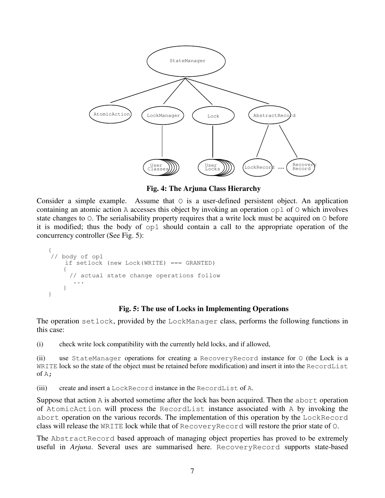

**Fig. 4: The Arjuna Class Hierarchy** 

Consider a simple example. Assume that  $\circ$  is a user-defined persistent object. An application containing an atomic action A accesses this object by invoking an operation  $op1$  of  $\odot$  which involves state changes to O. The serialisability property requires that a write lock must be acquired on O before it is modified; thus the body of op1 should contain a call to the appropriate operation of the concurrency controller (See Fig. 5):

```
{ 
 // body of op1 
     if setlock (new Lock(WRITE) === GRANTED) 
\{ // actual state change operations follow 
 ... 
    } 
}
```
#### **Fig. 5: The use of Locks in Implementing Operations**

The operation setlock, provided by the LockManager class, performs the following functions in this case:

(i) check write lock compatibility with the currently held locks, and if allowed,

(ii) use StateManager operations for creating a RecoveryRecord instance for O (the Lock is a WRITE lock so the state of the object must be retained before modification) and insert it into the RecordList of  $A$ ;

(iii) create and insert a LockRecord instance in the RecordList of A.

Suppose that action A is aborted sometime after the lock has been acquired. Then the abort operation of AtomicAction will process the RecordList instance associated with A by invoking the abort operation on the various records. The implementation of this operation by the LockRecord class will release the WRITE lock while that of RecoveryRecord will restore the prior state of O.

The AbstractRecord based approach of managing object properties has proved to be extremely useful in *Arjuna*. Several uses are summarised here. RecoveryRecord supports state-based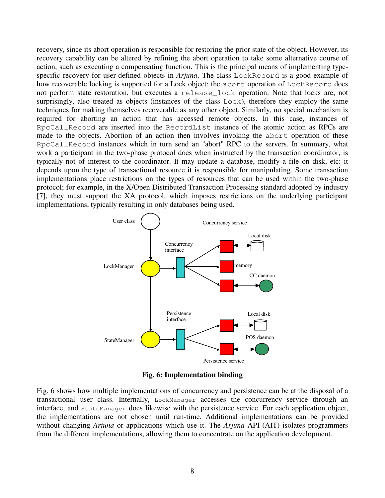recovery, since its abort operation is responsible for restoring the prior state of the object. However, its recovery capability can be altered by refining the abort operation to take some alternative course of action, such as executing a compensating function. This is the principal means of implementing typespecific recovery for user-defined objects in *Arjuna*. The class LockRecord is a good example of how recoverable locking is supported for a Lock object: the abort operation of LockRecord does not perform state restoration, but executes a release\_lock operation. Note that locks are, not surprisingly, also treated as objects (instances of the class Lock), therefore they employ the same techniques for making themselves recoverable as any other object. Similarly, no special mechanism is required for aborting an action that has accessed remote objects. In this case, instances of RpcCallRecord are inserted into the RecordList instance of the atomic action as RPCs are made to the objects. Abortion of an action then involves invoking the abort operation of these RpcCallRecord instances which in turn send an "abort" RPC to the servers. In summary, what work a participant in the two-phase protocol does when instructed by the transaction coordinator, is typically not of interest to the coordinator. It may update a database, modify a file on disk, etc: it depends upon the type of transactional resource it is responsible for manipulating. Some transaction implementations place restrictions on the types of resources that can be used within the two-phase protocol; for example, in the X/Open Distributed Transaction Processing standard adopted by industry [7], they must support the XA protocol, which imposes restrictions on the underlying participant implementations, typically resulting in only databases being used.



**Fig. 6: Implementation binding** 

Fig. 6 shows how multiple implementations of concurrency and persistence can be at the disposal of a transactional user class. Internally, LockManager accesses the concurrency service through an interface, and StateManager does likewise with the persistence service. For each application object, the implementations are not chosen until run-time. Additional implementations can be provided without changing *Arjuna* or applications which use it. The *Arjuna* API (AIT) isolates programmers from the different implementations, allowing them to concentrate on the application development.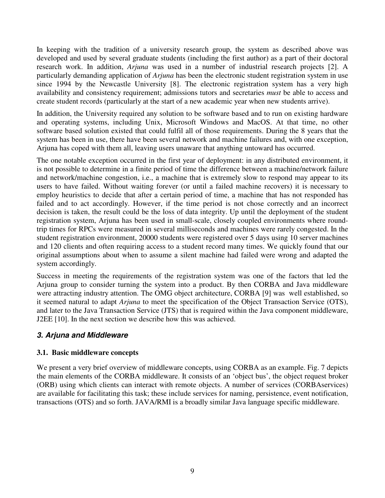In keeping with the tradition of a university research group, the system as described above was developed and used by several graduate students (including the first author) as a part of their doctoral research work. In addition, *Arjuna* was used in a number of industrial research projects [2]. A particularly demanding application of *Arjuna* has been the electronic student registration system in use since 1994 by the Newcastle University [8]. The electronic registration system has a very high availability and consistency requirement; admissions tutors and secretaries *must* be able to access and create student records (particularly at the start of a new academic year when new students arrive).

In addition, the University required any solution to be software based and to run on existing hardware and operating systems, including Unix, Microsoft Windows and MacOS. At that time, no other software based solution existed that could fulfil all of those requirements. During the 8 years that the system has been in use, there have been several network and machine failures and, with one exception, Arjuna has coped with them all, leaving users unaware that anything untoward has occurred.

The one notable exception occurred in the first year of deployment: in any distributed environment, it is not possible to determine in a finite period of time the difference between a machine/network failure and network/machine congestion, i.e., a machine that is extremely slow to respond may appear to its users to have failed. Without waiting forever (or until a failed machine recovers) it is necessary to employ heuristics to decide that after a certain period of time, a machine that has not responded has failed and to act accordingly. However, if the time period is not chose correctly and an incorrect decision is taken, the result could be the loss of data integrity. Up until the deployment of the student registration system, Arjuna has been used in small-scale, closely coupled environments where roundtrip times for RPCs were measured in several milliseconds and machines were rarely congested. In the student registration environment, 20000 students were registered over 5 days using 10 server machines and 120 clients and often requiring access to a student record many times. We quickly found that our original assumptions about when to assume a silent machine had failed were wrong and adapted the system accordingly.

Success in meeting the requirements of the registration system was one of the factors that led the Arjuna group to consider turning the system into a product. By then CORBA and Java middleware were attracting industry attention. The OMG object architecture, CORBA [9] was well established, so it seemed natural to adapt *Arjuna* to meet the specification of the Object Transaction Service (OTS), and later to the Java Transaction Service (JTS) that is required within the Java component middleware, J2EE [10]. In the next section we describe how this was achieved.

## **3. Arjuna and Middleware**

### **3.1. Basic middleware concepts**

We present a very brief overview of middleware concepts, using CORBA as an example. Fig. 7 depicts the main elements of the CORBA middleware. It consists of an 'object bus', the object request broker (ORB) using which clients can interact with remote objects. A number of services (CORBAservices) are available for facilitating this task; these include services for naming, persistence, event notification, transactions (OTS) and so forth. JAVA/RMI is a broadly similar Java language specific middleware.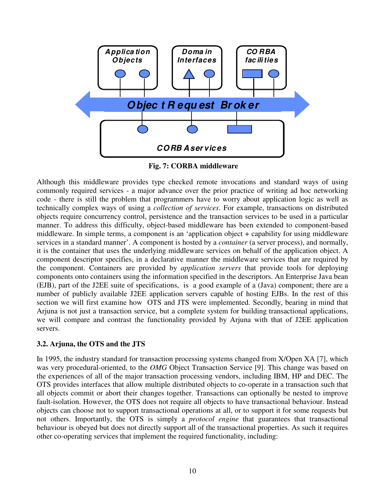

 **Fig. 7: CORBA middleware** 

Although this middleware provides type checked remote invocations and standard ways of using commonly required services - a major advance over the prior practice of writing ad hoc networking code - there is still the problem that programmers have to worry about application logic as well as technically complex ways of using a *collection of services*. For example, transactions on distributed objects require concurrency control, persistence and the transaction services to be used in a particular manner. To address this difficulty, object-based middleware has been extended to component-based middleware. In simple terms, a component is an 'application object + capability for using middleware services in a standard manner'. A component is hosted by a *container* (a server process), and normally, it is the container that uses the underlying middleware services on behalf of the application object. A component descriptor specifies, in a declarative manner the middleware services that are required by the component. Containers are provided by *application servers* that provide tools for deploying components onto containers using the information specified in the descriptors. An Enterprise Java bean (EJB), part of the J2EE suite of specifications, is a good example of a (Java) component; there are a number of publicly available J2EE application servers capable of hosting EJBs. In the rest of this section we will first examine how OTS and JTS were implemented. Secondly, bearing in mind that Arjuna is not just a transaction service, but a complete system for building transactional applications, we will compare and contrast the functionality provided by Arjuna with that of J2EE application servers.

### **3.2. Arjuna, the OTS and the JTS**

In 1995, the industry standard for transaction processing systems changed from X/Open XA [7], which was very procedural-oriented, to the *OMG* Object Transaction Service [9]. This change was based on the experiences of all of the major transaction processing vendors, including IBM, HP and DEC. The OTS provides interfaces that allow multiple distributed objects to co-operate in a transaction such that all objects commit or abort their changes together. Transactions can optionally be nested to improve fault-isolation. However, the OTS does not require all objects to have transactional behaviour. Instead objects can choose not to support transactional operations at all, or to support it for some requests but not others. Importantly, the OTS is simply a *protocol engine* that guarantees that transactional behaviour is obeyed but does not directly support all of the transactional properties. As such it requires other co-operating services that implement the required functionality, including: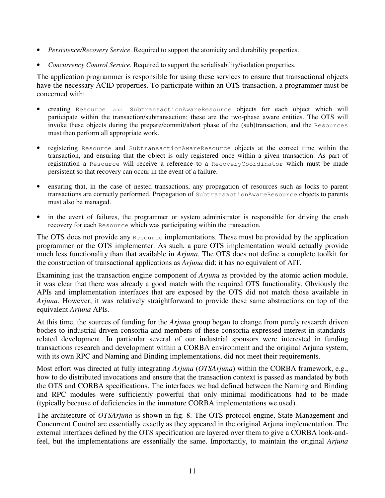- *Persistence/Recovery Service*. Required to support the atomicity and durability properties.
- *Concurrency Control Service*. Required to support the serialisability/isolation properties.

The application programmer is responsible for using these services to ensure that transactional objects have the necessary ACID properties. To participate within an OTS transaction, a programmer must be concerned with:

- creating Resource and SubtransactionAwareResource objects for each object which will participate within the transaction/subtransaction; these are the two-phase aware entities. The OTS will invoke these objects during the prepare/commit/abort phase of the (sub)transaction, and the Resources must then perform all appropriate work.
- registering Resource and SubtransactionAwareResource objects at the correct time within the transaction, and ensuring that the object is only registered once within a given transaction. As part of registration a Resource will receive a reference to a RecoveryCoordinator which must be made persistent so that recovery can occur in the event of a failure.
- ensuring that, in the case of nested transactions, any propagation of resources such as locks to parent transactions are correctly performed. Propagation of SubtransactionAwareResource objects to parents must also be managed.
- in the event of failures, the programmer or system administrator is responsible for driving the crash recovery for each Resource which was participating within the transaction.

The OTS does not provide any Resource implementations. These must be provided by the application programmer or the OTS implementer. As such, a pure OTS implementation would actually provide much less functionality than that available in *Arjuna*. The OTS does not define a complete toolkit for the construction of transactional applications as *Arjuna* did: it has no equivalent of AIT.

Examining just the transaction engine component of *Arjun*a as provided by the atomic action module, it was clear that there was already a good match with the required OTS functionality. Obviously the APIs and implementation interfaces that are exposed by the OTS did not match those available in *Arjuna*. However, it was relatively straightforward to provide these same abstractions on top of the equivalent *Arjuna* APIs.

At this time, the sources of funding for the *Arjuna* group began to change from purely research driven bodies to industrial driven consortia and members of these consortia expressed interest in standardsrelated development. In particular several of our industrial sponsors were interested in funding transactions research and development within a CORBA environment and the original Arjuna system, with its own RPC and Naming and Binding implementations, did not meet their requirements.

Most effort was directed at fully integrating *Arjuna* (*OTSArjuna*) within the CORBA framework, e.g., how to do distributed invocations and ensure that the transaction context is passed as mandated by both the OTS and CORBA specifications. The interfaces we had defined between the Naming and Binding and RPC modules were sufficiently powerful that only minimal modifications had to be made (typically because of deficiencies in the immature CORBA implementations we used).

The architecture of *OTSArjuna* is shown in fig. 8. The OTS protocol engine, State Management and Concurrent Control are essentially exactly as they appeared in the original Arjuna implementation. The external interfaces defined by the OTS specification are layered over them to give a CORBA look-andfeel, but the implementations are essentially the same. Importantly, to maintain the original *Arjuna*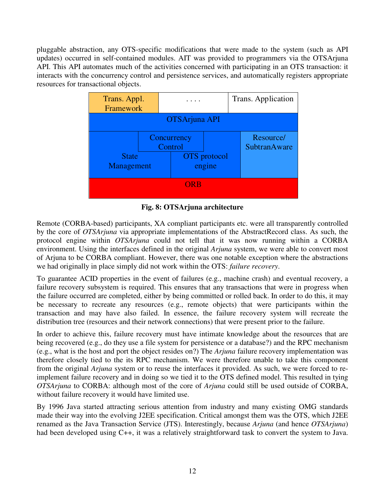pluggable abstraction, any OTS-specific modifications that were made to the system (such as API updates) occurred in self-contained modules. AIT was provided to programmers via the OTSArjuna API. This API automates much of the activities concerned with participating in an OTS transaction: it interacts with the concurrency control and persistence services, and automatically registers appropriate resources for transactional objects.



**Fig. 8: OTSArjuna architecture** 

Remote (CORBA-based) participants, XA compliant participants etc. were all transparently controlled by the core of *OTSArjuna* via appropriate implementations of the AbstractRecord class. As such, the protocol engine within *OTSArjuna* could not tell that it was now running within a CORBA environment. Using the interfaces defined in the original *Arjuna* system, we were able to convert most of Arjuna to be CORBA compliant. However, there was one notable exception where the abstractions we had originally in place simply did not work within the OTS: *failure recovery*.

To guarantee ACID properties in the event of failures (e.g., machine crash) and eventual recovery, a failure recovery subsystem is required. This ensures that any transactions that were in progress when the failure occurred are completed, either by being committed or rolled back. In order to do this, it may be necessary to recreate any resources (e.g., remote objects) that were participants within the transaction and may have also failed. In essence, the failure recovery system will recreate the distribution tree (resources and their network connections) that were present prior to the failure.

In order to achieve this, failure recovery must have intimate knowledge about the resources that are being recovered (e.g., do they use a file system for persistence or a database?) and the RPC mechanism (e.g., what is the host and port the object resides on?) The *Arjuna* failure recovery implementation was therefore closely tied to the its RPC mechanism. We were therefore unable to take this component from the original *Arjuna* system or to reuse the interfaces it provided. As such, we were forced to reimplement failure recovery and in doing so we tied it to the OTS defined model. This resulted in tying *OTSArjuna* to CORBA: although most of the core of *Arjuna* could still be used outside of CORBA, without failure recovery it would have limited use.

By 1996 Java started attracting serious attention from industry and many existing OMG standards made their way into the evolving J2EE specification. Critical amongst them was the OTS, which J2EE renamed as the Java Transaction Service (JTS). Interestingly, because *Arjuna* (and hence *OTSArjuna*) had been developed using C++, it was a relatively straightforward task to convert the system to Java.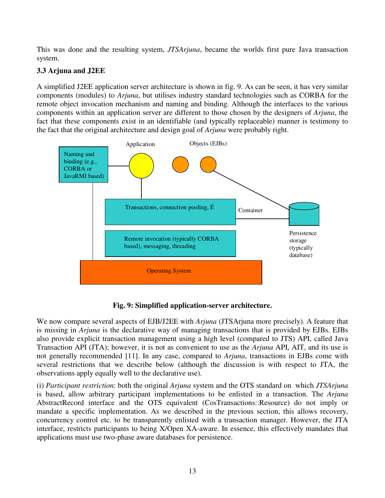This was done and the resulting system, *JTSArjuna*, became the worlds first pure Java transaction system.

## **3.3 Arjuna and J2EE**

A simplified J2EE application server architecture is shown in fig. 9. As can be seen, it has very similar components (modules) to *Arjuna*, but utilises industry standard technologies such as CORBA for the remote object invocation mechanism and naming and binding. Although the interfaces to the various components within an application server are different to those chosen by the designers of *Arjuna*, the fact that these components exist in an identifiable (and typically replaceable) manner is testimony to the fact that the original architecture and design goal of *Arjuna* were probably right.



**Fig. 9: Simplified application-server architecture.** 

We now compare several aspects of EJB/J2EE with *Arjuna* (JTSArjuna more precisely). A feature that is missing in *Arjuna* is the declarative way of managing transactions that is provided by EJBs. EJBs also provide explicit transaction management using a high level (compared to JTS) API, called Java Transaction API (JTA); however, it is not as convenient to use as the *Arjuna* API, AIT, and its use is not generally recommended [11]. In any case, compared to *Arjuna*, transactions in EJBs come with several restrictions that we describe below (although the discussion is with respect to JTA, the observations apply equally well to the declarative use).

(i) *Participant restriction*: both the original *Arjuna* system and the OTS standard on which *JTSArjuna* is based, allow arbitrary participant implementations to be enlisted in a transaction. The *Arjuna* AbstractRecord interface and the OTS equivalent (CosTransactions::Resource) do not imply or mandate a specific implementation. As we described in the previous section, this allows recovery, concurrency control etc. to be transparently enlisted with a transaction manager. However, the JTA interface, restricts participants to being X/Open XA-aware. In essence, this effectively mandates that applications must use two-phase aware databases for persistence.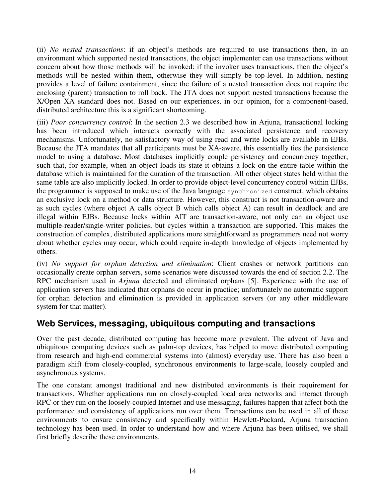(ii) *No nested transactions*: if an object's methods are required to use transactions then, in an environment which supported nested transactions, the object implementer can use transactions without concern about how those methods will be invoked: if the invoker uses transactions, then the object's methods will be nested within them, otherwise they will simply be top-level. In addition, nesting provides a level of failure containment, since the failure of a nested transaction does not require the enclosing (parent) transaction to roll back. The JTA does not support nested transactions because the X/Open XA standard does not. Based on our experiences, in our opinion, for a component-based, distributed architecture this is a significant shortcoming.

(iii) *Poor concurrency control*: In the section 2.3 we described how in Arjuna, transactional locking has been introduced which interacts correctly with the associated persistence and recovery mechanisms. Unfortunately, no satisfactory way of using read and write locks are available in EJBs. Because the JTA mandates that all participants must be XA-aware, this essentially ties the persistence model to using a database. Most databases implicitly couple persistency and concurrency together, such that, for example, when an object loads its state it obtains a lock on the entire table within the database which is maintained for the duration of the transaction. All other object states held within the same table are also implicitly locked. In order to provide object-level concurrency control within EJBs, the programmer is supposed to make use of the Java language synchronized construct, which obtains an exclusive lock on a method or data structure. However, this construct is not transaction-aware and as such cycles (where object A calls object B which calls object A) can result in deadlock and are illegal within EJBs. Because locks within AIT are transaction-aware, not only can an object use multiple-reader/single-writer policies, but cycles within a transaction are supported. This makes the construction of complex, distributed applications more straightforward as programmers need not worry about whether cycles may occur, which could require in-depth knowledge of objects implemented by others.

(iv) *No support for orphan detection and elimination*: Client crashes or network partitions can occasionally create orphan servers, some scenarios were discussed towards the end of section 2.2. The RPC mechanism used in *Arjuna* detected and eliminated orphans [5]. Experience with the use of application servers has indicated that orphans do occur in practice; unfortunately no automatic support for orphan detection and elimination is provided in application servers (or any other middleware system for that matter).

## **Web Services, messaging, ubiquitous computing and transactions**

Over the past decade, distributed computing has become more prevalent. The advent of Java and ubiquitous computing devices such as palm-top devices, has helped to move distributed computing from research and high-end commercial systems into (almost) everyday use. There has also been a paradigm shift from closely-coupled, synchronous environments to large-scale, loosely coupled and asynchronous systems.

The one constant amongst traditional and new distributed environments is their requirement for transactions. Whether applications run on closely-coupled local area networks and interact through RPC or they run on the loosely-coupled Internet and use messaging, failures happen that affect both the performance and consistency of applications run over them. Transactions can be used in all of these environments to ensure consistency and specifically within Hewlett-Packard, Arjuna transaction technology has been used. In order to understand how and where Arjuna has been utilised, we shall first briefly describe these environments.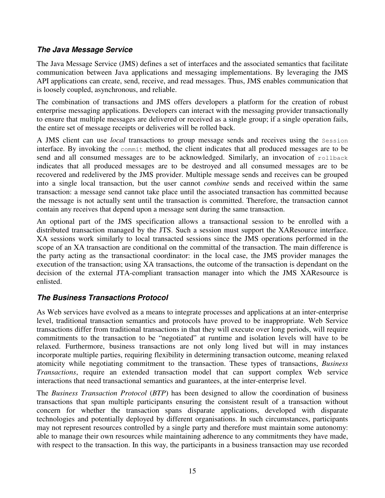## **The Java Message Service**

The Java Message Service (JMS) defines a set of interfaces and the associated semantics that facilitate communication between Java applications and messaging implementations. By leveraging the JMS API applications can create, send, receive, and read messages. Thus, JMS enables communication that is loosely coupled, asynchronous, and reliable.

The combination of transactions and JMS offers developers a platform for the creation of robust enterprise messaging applications. Developers can interact with the messaging provider transactionally to ensure that multiple messages are delivered or received as a single group; if a single operation fails, the entire set of message receipts or deliveries will be rolled back.

A JMS client can use *local* transactions to group message sends and receives using the Session interface. By invoking the commit method, the client indicates that all produced messages are to be send and all consumed messages are to be acknowledged. Similarly, an invocation of rollback indicates that all produced messages are to be destroyed and all consumed messages are to be recovered and redelivered by the JMS provider. Multiple message sends and receives can be grouped into a single local transaction, but the user cannot *combine* sends and received within the same transaction: a message send cannot take place until the associated transaction has committed because the message is not actually sent until the transaction is committed. Therefore, the transaction cannot contain any receives that depend upon a message sent during the same transaction.

An optional part of the JMS specification allows a transactional session to be enrolled with a distributed transaction managed by the JTS. Such a session must support the XAResource interface. XA sessions work similarly to local transacted sessions since the JMS operations performed in the scope of an XA transaction are conditional on the committal of the transaction. The main difference is the party acting as the transactional coordinator: in the local case, the JMS provider manages the execution of the transaction; using XA transactions, the outcome of the transaction is dependant on the decision of the external JTA-compliant transaction manager into which the JMS XAResource is enlisted.

## **The Business Transactions Protocol**

As Web services have evolved as a means to integrate processes and applications at an inter-enterprise level, traditional transaction semantics and protocols have proved to be inappropriate. Web Service transactions differ from traditional transactions in that they will execute over long periods, will require commitments to the transaction to be "negotiated" at runtime and isolation levels will have to be relaxed. Furthermore, business transactions are not only long lived but will in may instances incorporate multiple parties, requiring flexibility in determining transaction outcome, meaning relaxed atomicity while negotiating commitment to the transaction. These types of transactions, *Business Transactions*, require an extended transaction model that can support complex Web service interactions that need transactional semantics and guarantees, at the inter-enterprise level.

The *Business Transaction Protocol* (*BTP*) has been designed to allow the coordination of business transactions that span multiple participants ensuring the consistent result of a transaction without concern for whether the transaction spans disparate applications, developed with disparate technologies and potentially deployed by different organisations. In such circumstances, participants may not represent resources controlled by a single party and therefore must maintain some autonomy: able to manage their own resources while maintaining adherence to any commitments they have made, with respect to the transaction. In this way, the participants in a business transaction may use recorded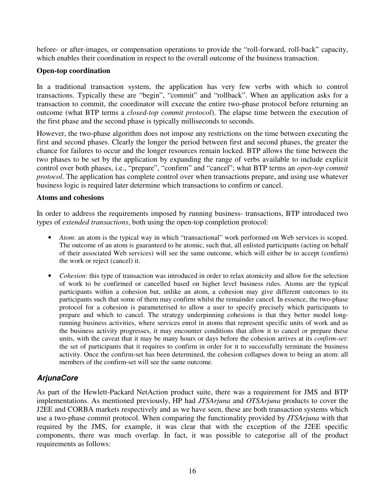before- or after-images, or compensation operations to provide the "roll-forward, roll-back" capacity, which enables their coordination in respect to the overall outcome of the business transaction.

#### **Open-top coordination**

In a traditional transaction system, the application has very few verbs with which to control transactions. Typically these are "begin", "commit" and "rollback". When an application asks for a transaction to commit, the coordinator will execute the entire two-phase protocol before returning an outcome (what BTP terms a *closed-top commit protocol*). The elapse time between the execution of the first phase and the second phase is typically milliseconds to seconds.

However, the two-phase algorithm does not impose any restrictions on the time between executing the first and second phases. Clearly the longer the period between first and second phases, the greater the chance for failures to occur and the longer resources remain locked. BTP allows the time between the two phases to be set by the application by expanding the range of verbs available to include explicit control over both phases, i.e., "prepare", "confirm" and "cancel"; what BTP terms an *open-top commit protocol*. The application has complete control over when transactions prepare, and using use whatever business logic is required later determine which transactions to confirm or cancel.

#### **Atoms and cohesions**

In order to address the requirements imposed by running business- transactions, BTP introduced two types of *extended transactions*, both using the open-top completion protocol:

- *Atom*: an atom is the typical way in which "transactional" work performed on Web services is scoped. The outcome of an atom is guaranteed to be atomic, such that, all enlisted participants (acting on behalf of their associated Web services) will see the same outcome, which will either be to accept (confirm) the work or reject (cancel) it.
- *Cohesion*: this type of transaction was introduced in order to relax atomicity and allow for the selection of work to be confirmed or cancelled based on higher level business rules. Atoms are the typical participants within a cohesion but, unlike an atom, a cohesion may give different outcomes to its participants such that some of them may confirm whilst the remainder cancel. In essence, the two-phase protocol for a cohesion is parameterised to allow a user to specify precisely which participants to prepare and which to cancel. The strategy underpinning cohesions is that they better model longrunning business activities, where services enrol in atoms that represent specific units of work and as the business activity progresses, it may encounter conditions that allow it to cancel or prepare these units, with the caveat that it may be many hours or days before the cohesion arrives at its *confirm-set*: the set of participants that it requires to confirm in order for it to successfully terminate the business activity. Once the confirm-set has been determined, the cohesion collapses down to being an atom: all members of the confirm-set will see the same outcome.

## **ArjunaCore**

As part of the Hewlett-Packard NetAction product suite, there was a requirement for JMS and BTP implementations. As mentioned previously, HP had *JTSArjuna* and *OTSArjuna* products to cover the J2EE and CORBA markets respectively and as we have seen, these are both transaction systems which use a two-phase commit protocol. When comparing the functionality provided by *JTSArjuna* with that required by the JMS, for example, it was clear that with the exception of the J2EE specific components, there was much overlap. In fact, it was possible to categorise all of the product requirements as follows: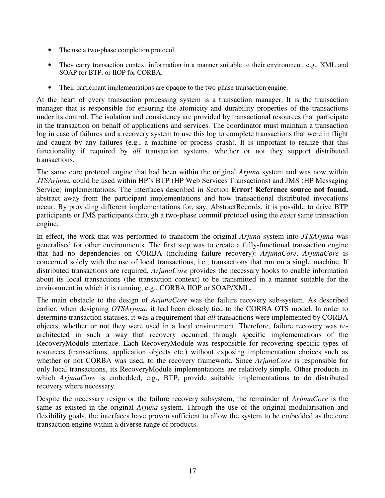- The use a two-phase completion protocol.
- They carry transaction context information in a manner suitable to their environment, e.g., XML and SOAP for BTP, or IIOP for CORBA.
- Their participant implementations are opaque to the two-phase transaction engine.

At the heart of every transaction processing system is a transaction manager. It is the transaction manager that is responsible for ensuring the atomicity and durability properties of the transactions under its control. The isolation and consistency are provided by transactional resources that participate in the transaction on behalf of applications and services. The coordinator must maintain a transaction log in case of failures and a recovery system to use this log to complete transactions that were in flight and caught by any failures (e.g., a machine or process crash). It is important to realize that this functionality if required by *all* transaction systems, whether or not they support distributed transactions.

The same core protocol engine that had been within the original *Arjuna* system and was now within *JTSArjuna*, could be used within HP's BTP (HP Web Services Transactions) and JMS (HP Messaging Service) implementations. The interfaces described in Section **Error! Reference source not found.** abstract away from the participant implementations and how transactional distributed invocations occur. By providing different implementations for, say, AbstractRecords, it is possible to drive BTP participants or JMS participants through a two-phase commit protocol using the *exact* same transaction engine.

In effect, the work that was performed to transform the original *Arjuna* system into *JTSArjuna* was generalised for other environments. The first step was to create a fully-functional transaction engine that had no dependencies on CORBA (including failure recovery): *ArjunaCore*. *ArjunaCore* is concerned solely with the use of local transactions, i.e., transactions that run on a single machine. If distributed transactions are required, *ArjunaCore* provides the necessary hooks to enable information about its local transactions (the transaction context) to be transmitted in a manner suitable for the environment in which it is running, e.g., CORBA IIOP or SOAP/XML.

The main obstacle to the design of *ArjunaCore* was the failure recovery sub-system. As described earlier, when designing *OTSArjuna*, it had been closely tied to the CORBA OTS model. In order to determine transaction statuses, it was a requirement that *all* transactions were implemented by CORBA objects, whether or not they were used in a local environment. Therefore, failure recovery was rearchitected in such a way that recovery occurred through specific implementations of the RecoveryModule interface. Each RecoveryModule was responsible for recovering specific types of resources (transactions, application objects etc.) without exposing implementation choices such as whether or not CORBA was used, to the recovery framework. Since *ArjunaCore* is responsible for only local transactions, its RecoveryModule implementations are relatively simple. Other products in which *ArjunaCore* is embedded, e.g., BTP, provide suitable implementations to do distributed recovery where necessary.

Despite the necessary resign or the failure recovery subsystem, the remainder of *ArjunaCore* is the same as existed in the original *Arjuna* system. Through the use of the original modularisation and flexibility goals, the interfaces have proven sufficient to allow the system to be embedded as the core transaction engine within a diverse range of products.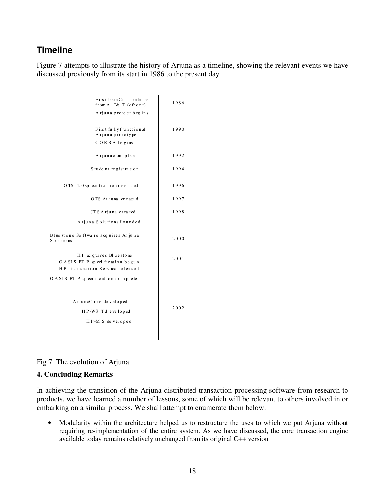# **Timeline**

Figure 7 attempts to illustrate the history of Arjuna as a timeline, showing the relevant events we have discussed previously from its start in 1986 to the present day.

| First betaC+ + relea se<br>from A T& T (cfront)                                                 | 1986 |
|-------------------------------------------------------------------------------------------------|------|
| Arjuna project begins                                                                           |      |
| First fully functional<br>A rjuna prototype                                                     | 1990 |
| $CORBA$ be gins                                                                                 |      |
| A rjunac om plete                                                                               | 1992 |
| S tudent registration                                                                           | 1994 |
| OTS 1.0 sp eci fication r ele as ed                                                             | 1996 |
| OTS Ar juna created                                                                             | 1997 |
| JTS Arjuna crea ted                                                                             | 1998 |
| Arjuna Solutionsfounded                                                                         |      |
| Blue stone So ftwa re acquires Ar juna<br>Solutions                                             | 2000 |
| HP ac qui res Bl u esto ne<br>OASIS BT P specification begun<br>HP Transaction Service released | 2001 |
| OASIS BT P specification complete                                                               |      |
| A rjunaC ore de veloped                                                                         |      |
| HP-WS Tdeveloped                                                                                | 2002 |
| HP-MS developed                                                                                 |      |
|                                                                                                 |      |

Fig 7. The evolution of Arjuna.

#### **4. Concluding Remarks**

In achieving the transition of the Arjuna distributed transaction processing software from research to products, we have learned a number of lessons, some of which will be relevant to others involved in or embarking on a similar process. We shall attempt to enumerate them below:

• Modularity within the architecture helped us to restructure the uses to which we put Arjuna without requiring re-implementation of the entire system. As we have discussed, the core transaction engine available today remains relatively unchanged from its original C++ version.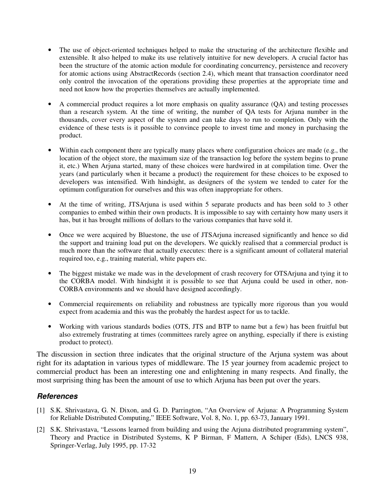- The use of object-oriented techniques helped to make the structuring of the architecture flexible and extensible. It also helped to make its use relatively intuitive for new developers. A crucial factor has been the structure of the atomic action module for coordinating concurrency, persistence and recovery for atomic actions using AbstractRecords (section 2.4), which meant that transaction coordinator need only control the invocation of the operations providing these properties at the appropriate time and need not know how the properties themselves are actually implemented.
- A commercial product requires a lot more emphasis on quality assurance (QA) and testing processes than a research system. At the time of writing, the number of QA tests for Arjuna number in the thousands, cover every aspect of the system and can take days to run to completion. Only with the evidence of these tests is it possible to convince people to invest time and money in purchasing the product.
- Within each component there are typically many places where configuration choices are made (e.g., the location of the object store, the maximum size of the transaction log before the system begins to prune it, etc.) When Arjuna started, many of these choices were hardwired in at compilation time. Over the years (and particularly when it became a product) the requirement for these choices to be exposed to developers was intensified. With hindsight, as designers of the system we tended to cater for the optimum configuration for ourselves and this was often inappropriate for others.
- At the time of writing, JTSArjuna is used within 5 separate products and has been sold to 3 other companies to embed within their own products. It is impossible to say with certainty how many users it has, but it has brought millions of dollars to the various companies that have sold it.
- Once we were acquired by Bluestone, the use of JTSArjuna increased significantly and hence so did the support and training load put on the developers. We quickly realised that a commercial product is much more than the software that actually executes: there is a significant amount of collateral material required too, e.g., training material, white papers etc.
- The biggest mistake we made was in the development of crash recovery for OTSArjuna and tying it to the CORBA model. With hindsight it is possible to see that Arjuna could be used in other, non-CORBA environments and we should have designed accordingly.
- Commercial requirements on reliability and robustness are typically more rigorous than you would expect from academia and this was the probably the hardest aspect for us to tackle.
- Working with various standards bodies (OTS, JTS and BTP to name but a few) has been fruitful but also extremely frustrating at times (committees rarely agree on anything, especially if there is existing product to protect).

The discussion in section three indicates that the original structure of the Arjuna system was about right for its adaptation in various types of middleware. The 15 year journey from academic project to commercial product has been an interesting one and enlightening in many respects. And finally, the most surprising thing has been the amount of use to which Arjuna has been put over the years.

### **References**

- [1] S.K. Shrivastava, G. N. Dixon, and G. D. Parrington, "An Overview of Arjuna: A Programming System for Reliable Distributed Computing," IEEE Software, Vol. 8, No. 1, pp. 63-73, January 1991.
- [2] S.K. Shrivastava, "Lessons learned from building and using the Arjuna distributed programming system", Theory and Practice in Distributed Systems, K P Birman, F Mattern, A Schiper (Eds), LNCS 938, Springer-Verlag, July 1995, pp. 17-32